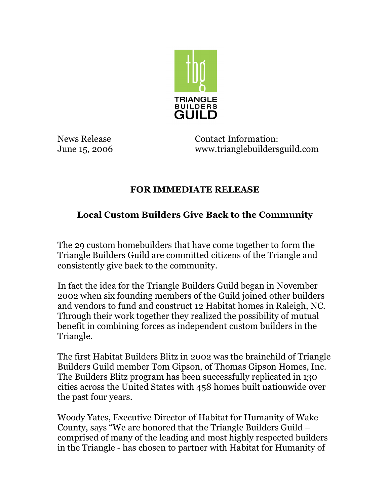

News Release **Contact Information:** June 15, 2006 www.trianglebuildersguild.com

## **FOR IMMEDIATE RELEASE**

## **Local Custom Builders Give Back to the Community**

The 29 custom homebuilders that have come together to form the Triangle Builders Guild are committed citizens of the Triangle and consistently give back to the community.

In fact the idea for the Triangle Builders Guild began in November 2002 when six founding members of the Guild joined other builders and vendors to fund and construct 12 Habitat homes in Raleigh, NC. Through their work together they realized the possibility of mutual benefit in combining forces as independent custom builders in the Triangle.

The first Habitat Builders Blitz in 2002 was the brainchild of Triangle Builders Guild member Tom Gipson, of Thomas Gipson Homes, Inc. The Builders Blitz program has been successfully replicated in 130 cities across the United States with 458 homes built nationwide over the past four years.

Woody Yates, Executive Director of Habitat for Humanity of Wake County, says "We are honored that the Triangle Builders Guild – comprised of many of the leading and most highly respected builders in the Triangle - has chosen to partner with Habitat for Humanity of